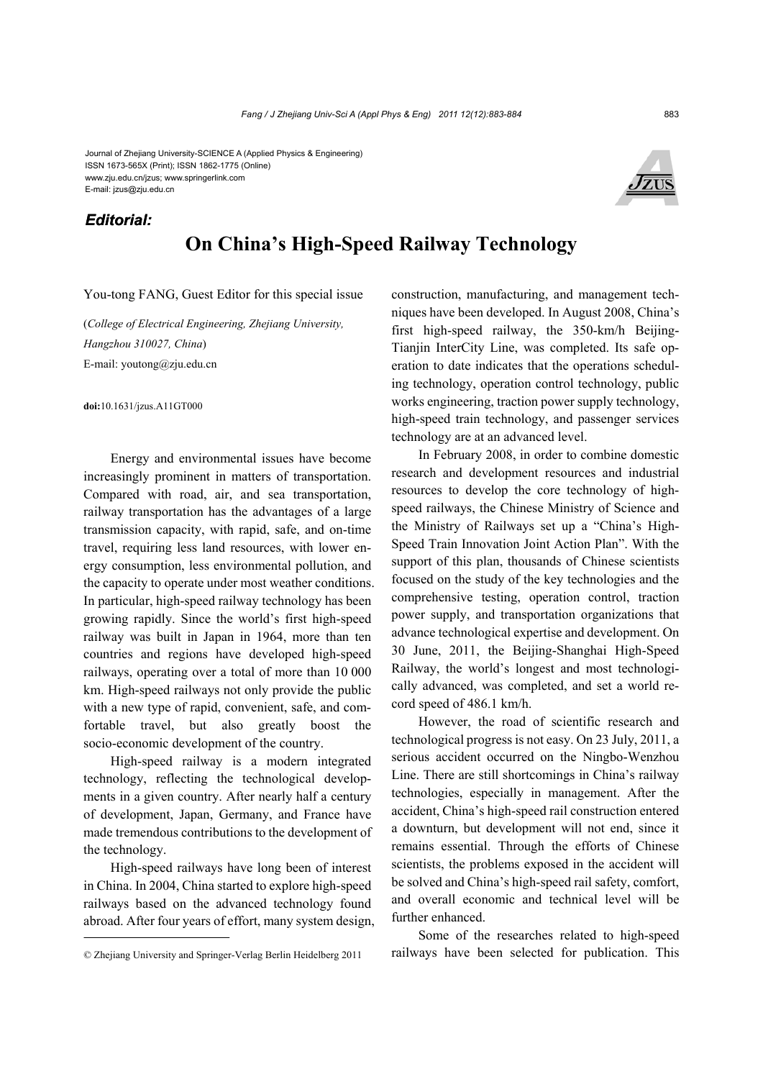### Journal of Zhejiang University-SCIENCE A (Applied Physics & Engineering) ISSN 1673-565X (Print); ISSN 1862-1775 (Online) www.zju.edu.cn/jzus; www.springerlink.com E-mail: jzus@zju.edu.cn

## *Editorial:*

# **On China's High-Speed Railway Technology**

You-tong FANG, Guest Editor for this special issue

(*College of Electrical Engineering, Zhejiang University, Hangzhou 310027, China*) E-mail: youtong@zju.edu.cn

**doi:**10.1631/jzus.A11GT000

Energy and environmental issues have become increasingly prominent in matters of transportation. Compared with road, air, and sea transportation, railway transportation has the advantages of a large transmission capacity, with rapid, safe, and on-time travel, requiring less land resources, with lower energy consumption, less environmental pollution, and the capacity to operate under most weather conditions. In particular, high-speed railway technology has been growing rapidly. Since the world's first high-speed railway was built in Japan in 1964, more than ten countries and regions have developed high-speed railways, operating over a total of more than 10 000 km. High-speed railways not only provide the public with a new type of rapid, convenient, safe, and comfortable travel, but also greatly boost the socio-economic development of the country.

High-speed railway is a modern integrated technology, reflecting the technological developments in a given country. After nearly half a century of development, Japan, Germany, and France have made tremendous contributions to the development of the technology.

High-speed railways have long been of interest in China. In 2004, China started to explore high-speed railways based on the advanced technology found abroad. After four years of effort, many system design, construction, manufacturing, and management techniques have been developed. In August 2008, China's first high-speed railway, the 350-km/h Beijing-Tianjin InterCity Line, was completed. Its safe operation to date indicates that the operations scheduling technology, operation control technology, public works engineering, traction power supply technology, high-speed train technology, and passenger services technology are at an advanced level.

In February 2008, in order to combine domestic research and development resources and industrial resources to develop the core technology of highspeed railways, the Chinese Ministry of Science and the Ministry of Railways set up a "China's High-Speed Train Innovation Joint Action Plan". With the support of this plan, thousands of Chinese scientists focused on the study of the key technologies and the comprehensive testing, operation control, traction power supply, and transportation organizations that advance technological expertise and development. On 30 June, 2011, the Beijing-Shanghai High-Speed Railway, the world's longest and most technologically advanced, was completed, and set a world record speed of 486.1 km/h.

However, the road of scientific research and technological progress is not easy. On 23 July, 2011, a serious accident occurred on the Ningbo-Wenzhou Line. There are still shortcomings in China's railway technologies, especially in management. After the accident, China's high-speed rail construction entered a downturn, but development will not end, since it remains essential. Through the efforts of Chinese scientists, the problems exposed in the accident will be solved and China's high-speed rail safety, comfort, and overall economic and technical level will be further enhanced.

Some of the researches related to high-speed railways have been selected for publication. This

<sup>©</sup> Zhejiang University and Springer-Verlag Berlin Heidelberg 2011